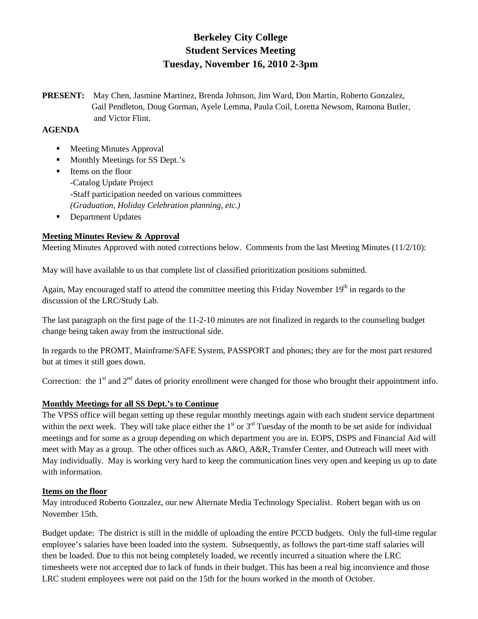# **Berkeley City College Student Services Meeting Tuesday, November 16, 2010 2-3pm**

**PRESENT:** May Chen, Jasmine Martinez, Brenda Johnson, Jim Ward, Don Martin, Roberto Gonzalez, Gail Pendleton, Doug Gorman, Ayele Lemma, Paula Coil, Loretta Newsom, Ramona Butler, and Victor Flint.

#### **AGENDA**

- **Meeting Minutes Approval**
- Monthly Meetings for SS Dept.'s
- Items on the floor -Catalog Update Project -Staff participation needed on various committees *(Graduation, Holiday Celebration planning, etc.)*
- Department Updates

## **Meeting Minutes Review & Approval**

Meeting Minutes Approved with noted corrections below. Comments from the last Meeting Minutes (11/2/10):

May will have available to us that complete list of classified prioritization positions submitted.

Again, May encouraged staff to attend the committee meeting this Friday November  $19<sup>th</sup>$  in regards to the discussion of the LRC/Study Lab.

The last paragraph on the first page of the 11-2-10 minutes are not finalized in regards to the counseling budget change being taken away from the instructional side.

In regards to the PROMT, Mainframe/SAFE System, PASSPORT and phones; they are for the most part restored but at times it still goes down.

Correction: the  $1<sup>st</sup>$  and  $2<sup>nd</sup>$  dates of priority enrollment were changed for those who brought their appointment info.

## **Monthly Meetings for all SS Dept.'s to Continue**

The VPSS office will began setting up these regular monthly meetings again with each student service department within the next week. They will take place either the  $1<sup>st</sup>$  or  $3<sup>rd</sup>$  Tuesday of the month to be set aside for individual meetings and for some as a group depending on which department you are in. EOPS, DSPS and Financial Aid will meet with May as a group. The other offices such as A&O, A&R, Transfer Center, and Outreach will meet with May individually. May is working very hard to keep the communication lines very open and keeping us up to date with information.

#### **Items on the floor**

May introduced Roberto Gonzalez, our new Alternate Media Technology Specialist. Robert began with us on November 15th.

Budget update: The district is still in the middle of uploading the entire PCCD budgets. Only the full-time regular employee's salaries have been loaded into the system. Subsequently, as follows the part-time staff salaries will then be loaded. Due to this not being completely loaded, we recently incurred a situation where the LRC timesheets were not accepted due to lack of funds in their budget. This has been a real big inconvience and those LRC student employees were not paid on the 15th for the hours worked in the month of October.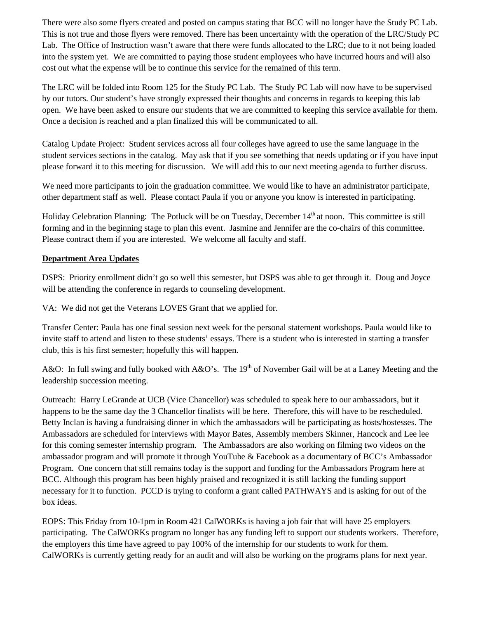There were also some flyers created and posted on campus stating that BCC will no longer have the Study PC Lab. This is not true and those flyers were removed. There has been uncertainty with the operation of the LRC/Study PC Lab. The Office of Instruction wasn't aware that there were funds allocated to the LRC; due to it not being loaded into the system yet. We are committed to paying those student employees who have incurred hours and will also cost out what the expense will be to continue this service for the remained of this term.

The LRC will be folded into Room 125 for the Study PC Lab. The Study PC Lab will now have to be supervised by our tutors. Our student's have strongly expressed their thoughts and concerns in regards to keeping this lab open. We have been asked to ensure our students that we are committed to keeping this service available for them. Once a decision is reached and a plan finalized this will be communicated to all.

Catalog Update Project: Student services across all four colleges have agreed to use the same language in the student services sections in the catalog. May ask that if you see something that needs updating or if you have input please forward it to this meeting for discussion. We will add this to our next meeting agenda to further discuss.

We need more participants to join the graduation committee. We would like to have an administrator participate, other department staff as well. Please contact Paula if you or anyone you know is interested in participating.

Holiday Celebration Planning: The Potluck will be on Tuesday, December  $14<sup>th</sup>$  at noon. This committee is still forming and in the beginning stage to plan this event. Jasmine and Jennifer are the co-chairs of this committee. Please contract them if you are interested. We welcome all faculty and staff.

## **Department Area Updates**

DSPS: Priority enrollment didn't go so well this semester, but DSPS was able to get through it. Doug and Joyce will be attending the conference in regards to counseling development.

VA: We did not get the Veterans LOVES Grant that we applied for.

Transfer Center: Paula has one final session next week for the personal statement workshops. Paula would like to invite staff to attend and listen to these students' essays. There is a student who is interested in starting a transfer club, this is his first semester; hopefully this will happen.

A&O: In full swing and fully booked with A&O's. The 19<sup>th</sup> of November Gail will be at a Laney Meeting and the leadership succession meeting.

Outreach: Harry LeGrande at UCB (Vice Chancellor) was scheduled to speak here to our ambassadors, but it happens to be the same day the 3 Chancellor finalists will be here. Therefore, this will have to be rescheduled. Betty Inclan is having a fundraising dinner in which the ambassadors will be participating as hosts/hostesses. The Ambassadors are scheduled for interviews with Mayor Bates, Assembly members Skinner, Hancock and Lee lee for this coming semester internship program. The Ambassadors are also working on filming two videos on the ambassador program and will promote it through YouTube & Facebook as a documentary of BCC's Ambassador Program. One concern that still remains today is the support and funding for the Ambassadors Program here at BCC. Although this program has been highly praised and recognized it is still lacking the funding support necessary for it to function. PCCD is trying to conform a grant called PATHWAYS and is asking for out of the box ideas.

EOPS: This Friday from 10-1pm in Room 421 CalWORKs is having a job fair that will have 25 employers participating. The CalWORKs program no longer has any funding left to support our students workers. Therefore, the employers this time have agreed to pay 100% of the internship for our students to work for them. CalWORKs is currently getting ready for an audit and will also be working on the programs plans for next year.